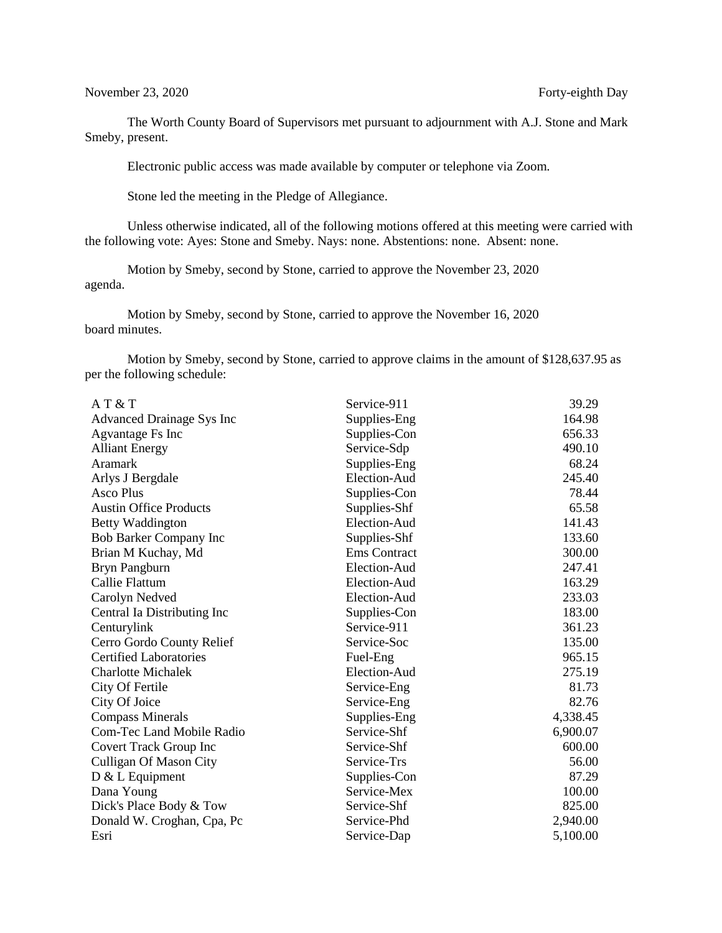November 23, 2020 Forty-eighth Day

The Worth County Board of Supervisors met pursuant to adjournment with A.J. Stone and Mark Smeby, present.

Electronic public access was made available by computer or telephone via Zoom.

Stone led the meeting in the Pledge of Allegiance.

Unless otherwise indicated, all of the following motions offered at this meeting were carried with the following vote: Ayes: Stone and Smeby. Nays: none. Abstentions: none. Absent: none.

Motion by Smeby, second by Stone, carried to approve the November 23, 2020 agenda.

Motion by Smeby, second by Stone, carried to approve the November 16, 2020 board minutes.

Motion by Smeby, second by Stone, carried to approve claims in the amount of \$128,637.95 as per the following schedule:

| AT&T                             | Service-911  | 39.29    |
|----------------------------------|--------------|----------|
| Advanced Drainage Sys Inc        | Supplies-Eng | 164.98   |
| Agvantage Fs Inc                 | Supplies-Con | 656.33   |
| <b>Alliant Energy</b>            | Service-Sdp  | 490.10   |
| Aramark                          | Supplies-Eng | 68.24    |
| Arlys J Bergdale                 | Election-Aud | 245.40   |
| Asco Plus                        | Supplies-Con | 78.44    |
| <b>Austin Office Products</b>    | Supplies-Shf | 65.58    |
| <b>Betty Waddington</b>          | Election-Aud | 141.43   |
| <b>Bob Barker Company Inc</b>    | Supplies-Shf | 133.60   |
| Brian M Kuchay, Md               | Ems Contract | 300.00   |
| Bryn Pangburn                    | Election-Aud | 247.41   |
| <b>Callie Flattum</b>            | Election-Aud | 163.29   |
| Carolyn Nedved                   | Election-Aud | 233.03   |
| Central Ia Distributing Inc      | Supplies-Con | 183.00   |
| Centurylink                      | Service-911  | 361.23   |
| Cerro Gordo County Relief        | Service-Soc  | 135.00   |
| <b>Certified Laboratories</b>    | Fuel-Eng     | 965.15   |
| <b>Charlotte Michalek</b>        | Election-Aud | 275.19   |
| City Of Fertile                  | Service-Eng  | 81.73    |
| City Of Joice                    | Service-Eng  | 82.76    |
| <b>Compass Minerals</b>          | Supplies-Eng | 4,338.45 |
| <b>Com-Tec Land Mobile Radio</b> | Service-Shf  | 6,900.07 |
| Covert Track Group Inc           | Service-Shf  | 600.00   |
| <b>Culligan Of Mason City</b>    | Service-Trs  | 56.00    |
| $D & L$ Equipment                | Supplies-Con | 87.29    |
| Dana Young                       | Service-Mex  | 100.00   |
| Dick's Place Body & Tow          | Service-Shf  | 825.00   |
| Donald W. Croghan, Cpa, Pc       | Service-Phd  | 2,940.00 |
| Esri                             | Service-Dap  | 5,100.00 |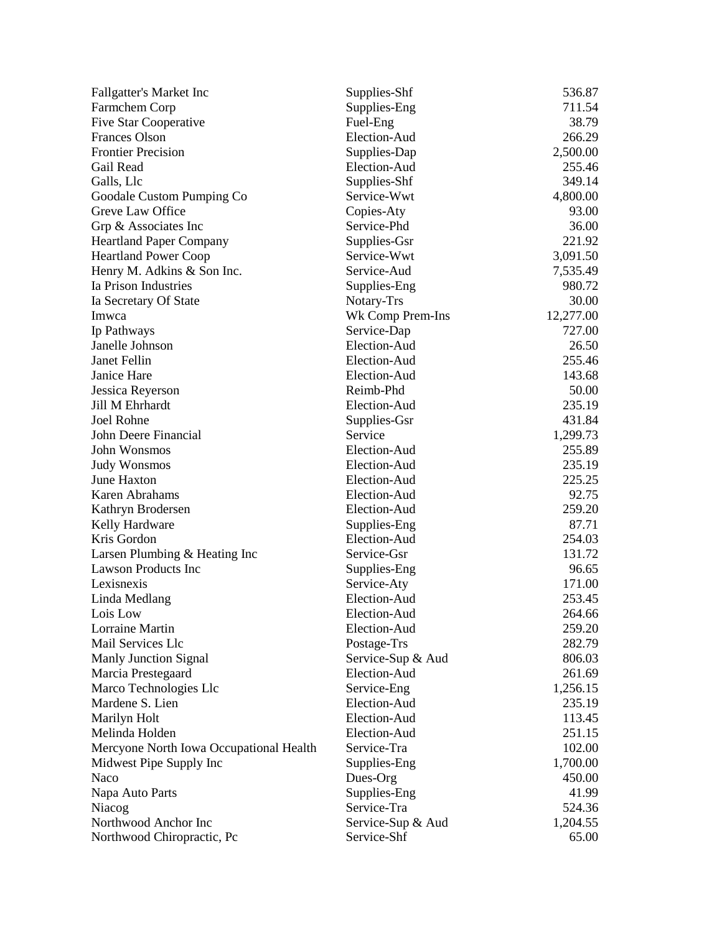| <b>Fallgatter's Market Inc</b>          | Supplies-Shf      | 536.87    |
|-----------------------------------------|-------------------|-----------|
| Farmchem Corp                           | Supplies-Eng      | 711.54    |
| Five Star Cooperative                   | Fuel-Eng          | 38.79     |
| <b>Frances Olson</b>                    | Election-Aud      | 266.29    |
| <b>Frontier Precision</b>               | Supplies-Dap      | 2,500.00  |
| Gail Read                               | Election-Aud      | 255.46    |
| Galls, Llc                              | Supplies-Shf      | 349.14    |
| Goodale Custom Pumping Co               | Service-Wwt       | 4,800.00  |
| Greve Law Office                        | Copies-Aty        | 93.00     |
| Grp & Associates Inc                    | Service-Phd       | 36.00     |
| <b>Heartland Paper Company</b>          | Supplies-Gsr      | 221.92    |
| <b>Heartland Power Coop</b>             | Service-Wwt       | 3,091.50  |
| Henry M. Adkins & Son Inc.              | Service-Aud       | 7,535.49  |
| Ia Prison Industries                    | Supplies-Eng      | 980.72    |
| Ia Secretary Of State                   | Notary-Trs        | 30.00     |
| Imwca                                   | Wk Comp Prem-Ins  | 12,277.00 |
| Ip Pathways                             | Service-Dap       | 727.00    |
| Janelle Johnson                         | Election-Aud      | 26.50     |
| Janet Fellin                            | Election-Aud      | 255.46    |
| Janice Hare                             | Election-Aud      | 143.68    |
| Jessica Reyerson                        | Reimb-Phd         | 50.00     |
| Jill M Ehrhardt                         | Election-Aud      | 235.19    |
| Joel Rohne                              | Supplies-Gsr      | 431.84    |
| John Deere Financial                    | Service           | 1,299.73  |
| John Wonsmos                            | Election-Aud      | 255.89    |
| <b>Judy Wonsmos</b>                     | Election-Aud      | 235.19    |
| June Haxton                             | Election-Aud      | 225.25    |
| Karen Abrahams                          | Election-Aud      | 92.75     |
| Kathryn Brodersen                       | Election-Aud      | 259.20    |
| Kelly Hardware                          | Supplies-Eng      | 87.71     |
| Kris Gordon                             | Election-Aud      | 254.03    |
| Larsen Plumbing & Heating Inc           | Service-Gsr       | 131.72    |
| <b>Lawson Products Inc</b>              | Supplies-Eng      | 96.65     |
| Lexisnexis                              | Service-Aty       | 171.00    |
| Linda Medlang                           | Election-Aud      | 253.45    |
| Lois Low                                | Election-Aud      | 264.66    |
| Lorraine Martin                         | Election-Aud      | 259.20    |
| Mail Services Llc                       | Postage-Trs       | 282.79    |
| Manly Junction Signal                   | Service-Sup & Aud | 806.03    |
| Marcia Prestegaard                      | Election-Aud      | 261.69    |
| Marco Technologies Llc                  | Service-Eng       | 1,256.15  |
| Mardene S. Lien                         | Election-Aud      | 235.19    |
| Marilyn Holt                            | Election-Aud      | 113.45    |
| Melinda Holden                          | Election-Aud      | 251.15    |
| Mercyone North Iowa Occupational Health | Service-Tra       | 102.00    |
| Midwest Pipe Supply Inc                 | Supplies-Eng      | 1,700.00  |
| Naco                                    | Dues-Org          | 450.00    |
| Napa Auto Parts                         | Supplies-Eng      | 41.99     |
| Niacog                                  | Service-Tra       | 524.36    |
| Northwood Anchor Inc                    | Service-Sup & Aud | 1,204.55  |
| Northwood Chiropractic, Pc              | Service-Shf       | 65.00     |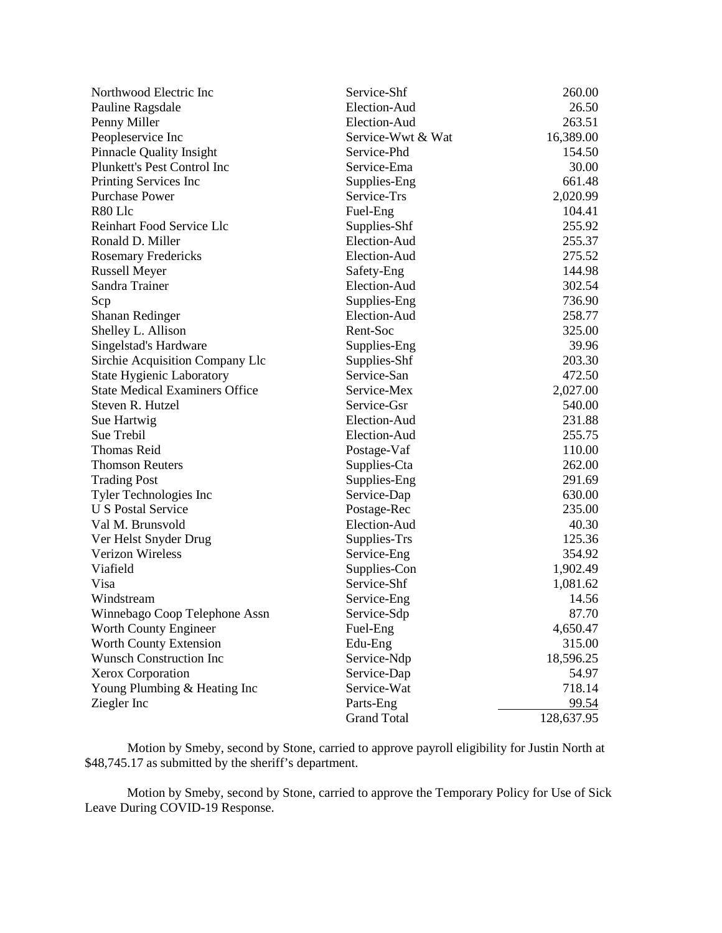| Northwood Electric Inc                | Service-Shf        | 260.00     |
|---------------------------------------|--------------------|------------|
| Pauline Ragsdale                      | Election-Aud       | 26.50      |
| Penny Miller                          | Election-Aud       | 263.51     |
| Peopleservice Inc                     | Service-Wwt & Wat  | 16,389.00  |
| <b>Pinnacle Quality Insight</b>       | Service-Phd        | 154.50     |
| Plunkett's Pest Control Inc           | Service-Ema        | 30.00      |
| Printing Services Inc                 | Supplies-Eng       | 661.48     |
| <b>Purchase Power</b>                 | Service-Trs        | 2,020.99   |
| R80 Llc                               | Fuel-Eng           | 104.41     |
| Reinhart Food Service Llc             | Supplies-Shf       | 255.92     |
| Ronald D. Miller                      | Election-Aud       | 255.37     |
| <b>Rosemary Fredericks</b>            | Election-Aud       | 275.52     |
| <b>Russell Meyer</b>                  | Safety-Eng         | 144.98     |
| Sandra Trainer                        | Election-Aud       | 302.54     |
| Scp                                   | Supplies-Eng       | 736.90     |
| Shanan Redinger                       | Election-Aud       | 258.77     |
| Shelley L. Allison                    | Rent-Soc           | 325.00     |
| Singelstad's Hardware                 | Supplies-Eng       | 39.96      |
| Sirchie Acquisition Company Llc       | Supplies-Shf       | 203.30     |
| <b>State Hygienic Laboratory</b>      | Service-San        | 472.50     |
| <b>State Medical Examiners Office</b> | Service-Mex        | 2,027.00   |
| Steven R. Hutzel                      | Service-Gsr        | 540.00     |
| Sue Hartwig                           | Election-Aud       | 231.88     |
| Sue Trebil                            | Election-Aud       | 255.75     |
| <b>Thomas Reid</b>                    | Postage-Vaf        | 110.00     |
| <b>Thomson Reuters</b>                | Supplies-Cta       | 262.00     |
| <b>Trading Post</b>                   | Supplies-Eng       | 291.69     |
| Tyler Technologies Inc                | Service-Dap        | 630.00     |
| <b>U S Postal Service</b>             | Postage-Rec        | 235.00     |
| Val M. Brunsvold                      | Election-Aud       | 40.30      |
| Ver Helst Snyder Drug                 | Supplies-Trs       | 125.36     |
| <b>Verizon Wireless</b>               | Service-Eng        | 354.92     |
| Viafield                              | Supplies-Con       | 1,902.49   |
| Visa                                  | Service-Shf        | 1,081.62   |
| Windstream                            | Service-Eng        | 14.56      |
| Winnebago Coop Telephone Assn         | Service-Sdp        | 87.70      |
| Worth County Engineer                 | Fuel-Eng           | 4,650.47   |
| Worth County Extension                | Edu-Eng            | 315.00     |
| <b>Wunsch Construction Inc</b>        | Service-Ndp        | 18,596.25  |
| Xerox Corporation                     | Service-Dap        | 54.97      |
| Young Plumbing & Heating Inc          | Service-Wat        | 718.14     |
| Ziegler Inc                           | Parts-Eng          | 99.54      |
|                                       | <b>Grand Total</b> | 128,637.95 |

Motion by Smeby, second by Stone, carried to approve payroll eligibility for Justin North at \$48,745.17 as submitted by the sheriff's department.

 Motion by Smeby, second by Stone, carried to approve the Temporary Policy for Use of Sick Leave During COVID-19 Response.